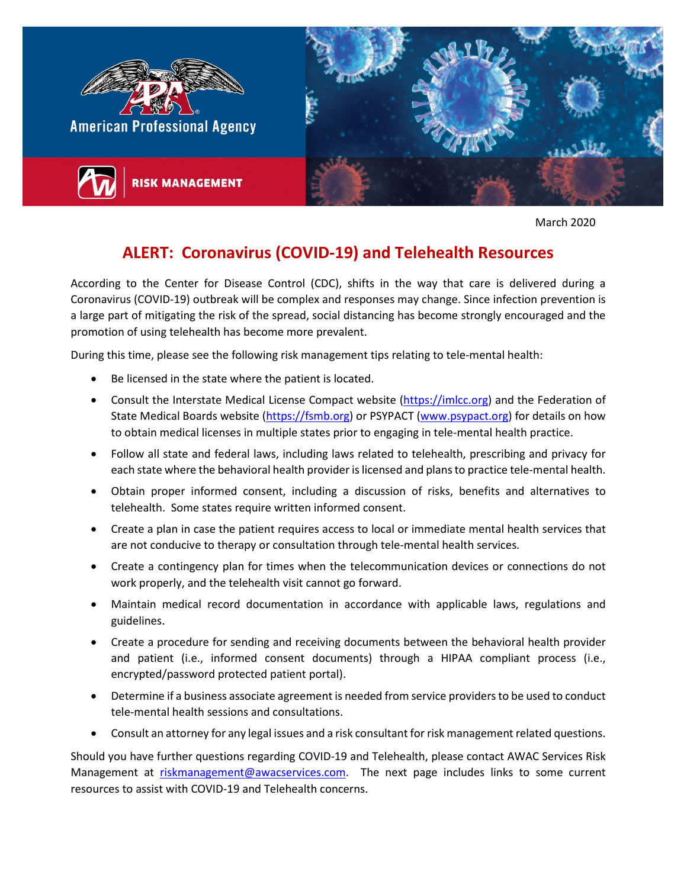

March 2020

## **ALERT: Coronavirus (COVID-19) and Telehealth Resources**

According to the Center for Disease Control (CDC), shifts in the way that care is delivered during a Coronavirus (COVID-19) outbreak will be complex and responses may change. Since infection prevention is a large part of mitigating the risk of the spread, social distancing has become strongly encouraged and the promotion of using telehealth has become more prevalent.

During this time, please see the following risk management tips relating to tele-mental health:

- Be licensed in the state where the patient is located.
- Consult the Interstate Medical License Compact website (https://imlcc.org) and the Federation of State Medical Boards website (https://fsmb.org) or PSYPACT (www.psypact.org) for details on how to obtain medical licenses in multiple states prior to engaging in tele-mental health practice.
- Follow all state and federal laws, including laws related to telehealth, prescribing and privacy for each state where the behavioral health provider is licensed and plans to practice tele-mental health.
- Obtain proper informed consent, including a discussion of risks, benefits and alternatives to telehealth. Some states require written informed consent.
- Create a plan in case the patient requires access to local or immediate mental health services that are not conducive to therapy or consultation through tele-mental health services.
- Create a contingency plan for times when the telecommunication devices or connections do not work properly, and the telehealth visit cannot go forward.
- Maintain medical record documentation in accordance with applicable laws, regulations and guidelines.
- Create a procedure for sending and receiving documents between the behavioral health provider and patient (i.e., informed consent documents) through a HIPAA compliant process (i.e., encrypted/password protected patient portal).
- Determine if a business associate agreement is needed from service providers to be used to conduct tele-mental health sessions and consultations.
- Consult an attorney for any legal issues and a risk consultant for risk management related questions.

Should you have further questions regarding COVID-19 and Telehealth, please contact AWAC Services Risk Management at riskmanagement@awacservices.com. The next page includes links to some current resources to assist with COVID-19 and Telehealth concerns.